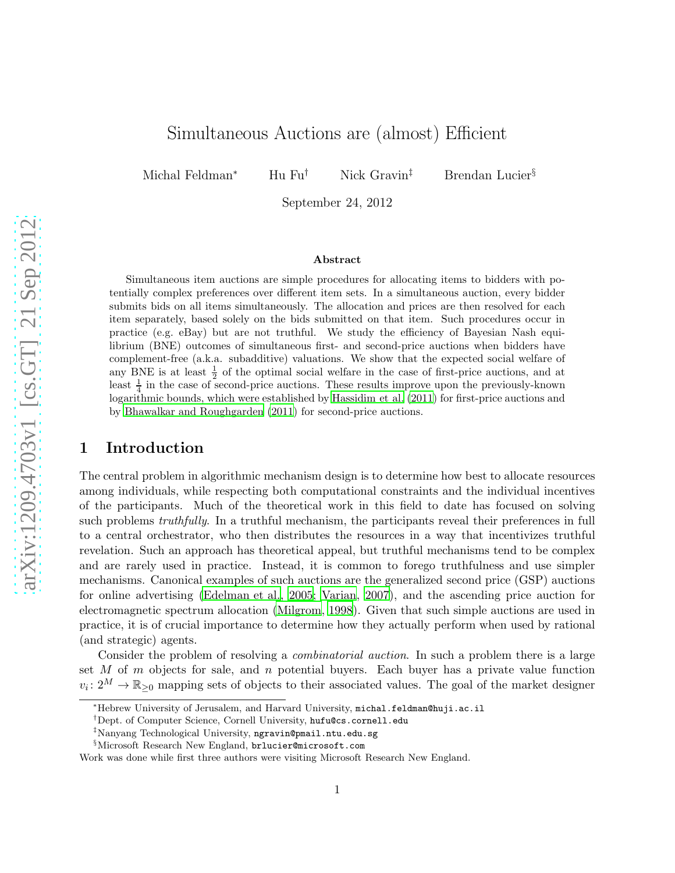# Simultaneous Auctions are (almost) Efficient

Michal Feldman<sup>∗</sup> Hu Fu<sup>†</sup> Nick Gravin<sup>‡</sup> Brendan Lucier<sup>§</sup>

September 24, 2012

#### Abstract

Simultaneous item auctions are simple procedures for allocating items to bidders with potentially complex preferences over different item sets. In a simultaneous auction, every bidder submits bids on all items simultaneously. The allocation and prices are then resolved for each item separately, based solely on the bids submitted on that item. Such procedures occur in practice (e.g. eBay) but are not truthful. We study the efficiency of Bayesian Nash equilibrium (BNE) outcomes of simultaneous first- and second-price auctions when bidders have complement-free (a.k.a. subadditive) valuations. We show that the expected social welfare of any BNE is at least  $\frac{1}{2}$  of the optimal social welfare in the case of first-price auctions, and at least  $\frac{1}{4}$  in the case of second-price auctions. These results improve upon the previously-known logarithmic bounds, which were established by [Hassidim et al. \(2011\)](#page-12-0) for first-price auctions and by [Bhawalkar and Roughgarden \(2011](#page-12-1)) for second-price auctions.

# 1 Introduction

The central problem in algorithmic mechanism design is to determine how best to allocate resources among individuals, while respecting both computational constraints and the individual incentives of the participants. Much of the theoretical work in this field to date has focused on solving such problems *truthfully*. In a truthful mechanism, the participants reveal their preferences in full to a central orchestrator, who then distributes the resources in a way that incentivizes truthful revelation. Such an approach has theoretical appeal, but truthful mechanisms tend to be complex and are rarely used in practice. Instead, it is common to forego truthfulness and use simpler mechanisms. Canonical examples of such auctions are the generalized second price (GSP) auctions for online advertising [\(Edelman et al.](#page-12-2), [2005](#page-12-2); [Varian](#page-13-0), [2007](#page-13-0)), and the ascending price auction for electromagnetic spectrum allocation [\(Milgrom, 1998](#page-13-1)). Given that such simple auctions are used in practice, it is of crucial importance to determine how they actually perform when used by rational (and strategic) agents.

Consider the problem of resolving a *combinatorial auction*. In such a problem there is a large set  $M$  of  $m$  objects for sale, and  $n$  potential buyers. Each buyer has a private value function  $v_i: 2^M \to \mathbb{R}_{\geq 0}$  mapping sets of objects to their associated values. The goal of the market designer

<sup>∗</sup>Hebrew University of Jerusalem, and Harvard University, michal.feldman@huji.ac.il

<sup>†</sup>Dept. of Computer Science, Cornell University, hufu@cs.cornell.edu

<sup>‡</sup>Nanyang Technological University, ngravin@pmail.ntu.edu.sg

<sup>§</sup>Microsoft Research New England, brlucier@microsoft.com

Work was done while first three authors were visiting Microsoft Research New England.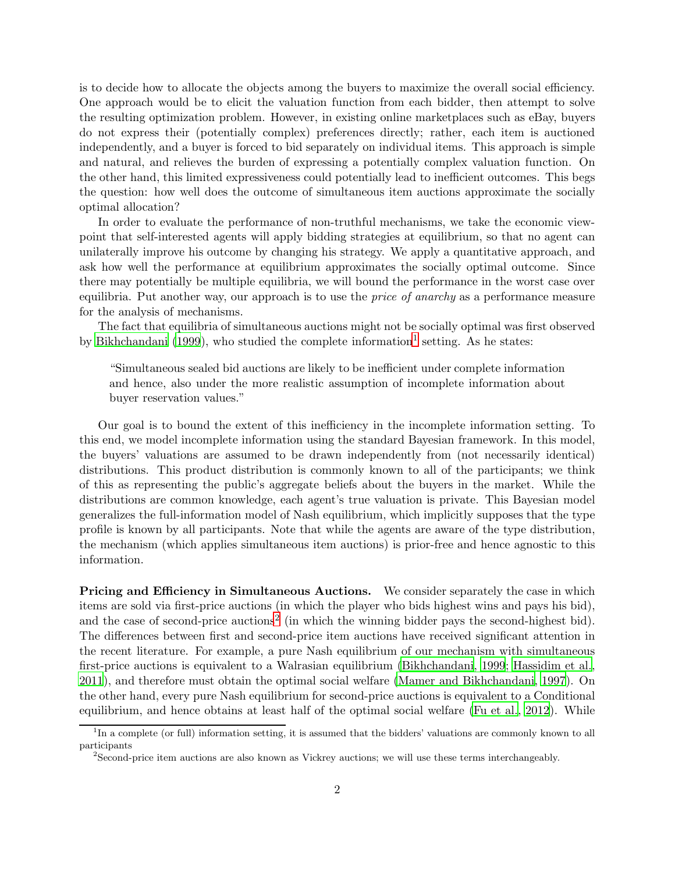is to decide how to allocate the objects among the buyers to maximize the overall social efficiency. One approach would be to elicit the valuation function from each bidder, then attempt to solve the resulting optimization problem. However, in existing online marketplaces such as eBay, buyers do not express their (potentially complex) preferences directly; rather, each item is auctioned independently, and a buyer is forced to bid separately on individual items. This approach is simple and natural, and relieves the burden of expressing a potentially complex valuation function. On the other hand, this limited expressiveness could potentially lead to inefficient outcomes. This begs the question: how well does the outcome of simultaneous item auctions approximate the socially optimal allocation?

In order to evaluate the performance of non-truthful mechanisms, we take the economic viewpoint that self-interested agents will apply bidding strategies at equilibrium, so that no agent can unilaterally improve his outcome by changing his strategy. We apply a quantitative approach, and ask how well the performance at equilibrium approximates the socially optimal outcome. Since there may potentially be multiple equilibria, we will bound the performance in the worst case over equilibria. Put another way, our approach is to use the *price of anarchy* as a performance measure for the analysis of mechanisms.

The fact that equilibria of simultaneous auctions might not be socially optimal was first observed by [Bikhchandani \(1999](#page-12-3)), who studied the complete information<sup>[1](#page-1-0)</sup> setting. As he states:

"Simultaneous sealed bid auctions are likely to be inefficient under complete information and hence, also under the more realistic assumption of incomplete information about buyer reservation values."

Our goal is to bound the extent of this inefficiency in the incomplete information setting. To this end, we model incomplete information using the standard Bayesian framework. In this model, the buyers' valuations are assumed to be drawn independently from (not necessarily identical) distributions. This product distribution is commonly known to all of the participants; we think of this as representing the public's aggregate beliefs about the buyers in the market. While the distributions are common knowledge, each agent's true valuation is private. This Bayesian model generalizes the full-information model of Nash equilibrium, which implicitly supposes that the type profile is known by all participants. Note that while the agents are aware of the type distribution, the mechanism (which applies simultaneous item auctions) is prior-free and hence agnostic to this information.

**Pricing and Efficiency in Simultaneous Auctions.** We consider separately the case in which items are sold via first-price auctions (in which the player who bids highest wins and pays his bid), and the case of second-price auctions<sup>[2](#page-1-1)</sup> (in which the winning bidder pays the second-highest bid). The differences between first and second-price item auctions have received significant attention in the recent literature. For example, a pure Nash equilibrium of our mechanism with simultaneous first-price auctions is equivalent to a Walrasian equilibrium [\(Bikhchandani, 1999;](#page-12-3) [Hassidim et al.](#page-12-0), [2011\)](#page-12-0), and therefore must obtain the optimal social welfare [\(Mamer and Bikhchandani](#page-13-2), [1997](#page-13-2)). On the other hand, every pure Nash equilibrium for second-price auctions is equivalent to a Conditional equilibrium, and hence obtains at least half of the optimal social welfare [\(Fu et al., 2012](#page-12-4)). While

 $1$ In a complete (or full) information setting, it is assumed that the bidders' valuations are commonly known to all participants

<span id="page-1-1"></span><span id="page-1-0"></span><sup>&</sup>lt;sup>2</sup>Second-price item auctions are also known as Vickrey auctions; we will use these terms interchangeably.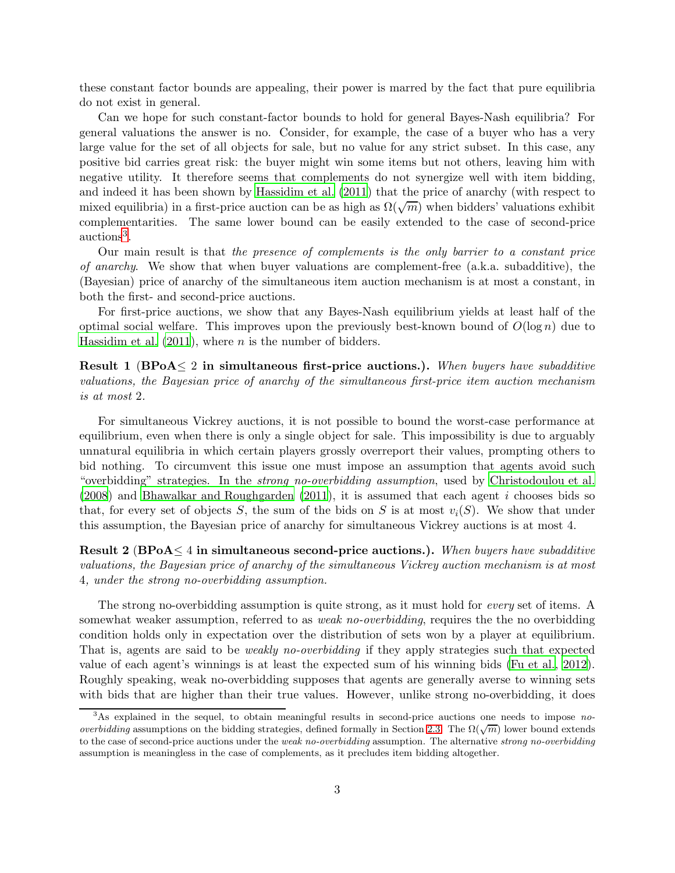these constant factor bounds are appealing, their power is marred by the fact that pure equilibria do not exist in general.

Can we hope for such constant-factor bounds to hold for general Bayes-Nash equilibria? For general valuations the answer is no. Consider, for example, the case of a buyer who has a very large value for the set of all objects for sale, but no value for any strict subset. In this case, any positive bid carries great risk: the buyer might win some items but not others, leaving him with negative utility. It therefore seems that complements do not synergize well with item bidding, and indeed it has been shown by [Hassidim et al. \(2011](#page-12-0)) that the price of anarchy (with respect to mixed equilibria) in a first-price auction can be as high as  $\Omega(\sqrt{m})$  when bidders' valuations exhibit complementarities. The same lower bound can be easily extended to the case of second-price auctions<sup>[3](#page-2-0)</sup>.

Our main result is that the presence of complements is the only barrier to a constant price of anarchy. We show that when buyer valuations are complement-free (a.k.a. subadditive), the (Bayesian) price of anarchy of the simultaneous item auction mechanism is at most a constant, in both the first- and second-price auctions.

For first-price auctions, we show that any Bayes-Nash equilibrium yields at least half of the optimal social welfare. This improves upon the previously best-known bound of  $O(\log n)$  due to Hassidim et al.  $(2011)$ , where *n* is the number of bidders.

**Result 1 (BPoA** $\leq$  2 in simultaneous first-price auctions.). When buyers have subadditive valuations, the Bayesian price of anarchy of the simultaneous first-price item auction mechanism is at most 2.

For simultaneous Vickrey auctions, it is not possible to bound the worst-case performance at equilibrium, even when there is only a single object for sale. This impossibility is due to arguably unnatural equilibria in which certain players grossly overreport their values, prompting others to bid nothing. To circumvent this issue one must impose an assumption that agents avoid such "overbidding" strategies. In the strong no-overbidding assumption, used by [Christodoulou et al.](#page-12-5)  $(2008)$  $(2008)$  and Bhawalkar and Roughgarden  $(2011)$ , it is assumed that each agent i chooses bids so that, for every set of objects S, the sum of the bids on S is at most  $v_i(S)$ . We show that under this assumption, the Bayesian price of anarchy for simultaneous Vickrey auctions is at most 4.

Result 2 (BPoA≤ 4 in simultaneous second-price auctions.). When buyers have subadditive valuations, the Bayesian price of anarchy of the simultaneous Vickrey auction mechanism is at most 4, under the strong no-overbidding assumption.

The strong no-overbidding assumption is quite strong, as it must hold for *every* set of items. A somewhat weaker assumption, referred to as *weak no-overbidding*, requires the the no overbidding condition holds only in expectation over the distribution of sets won by a player at equilibrium. That is, agents are said to be *weakly no-overbidding* if they apply strategies such that expected value of each agent's winnings is at least the expected sum of his winning bids [\(Fu et al., 2012\)](#page-12-4). Roughly speaking, weak no-overbidding supposes that agents are generally averse to winning sets with bids that are higher than their true values. However, unlike strong no-overbidding, it does

<span id="page-2-0"></span><sup>&</sup>lt;sup>3</sup>As explained in the sequel, to obtain meaningful results in second-price auctions one needs to impose no-overbidding assumptions on the bidding strategies, defined formally in Section [2.3.](#page-7-0) The  $\Omega(\sqrt{m})$  lower bound extends to the case of second-price auctions under the *weak no-overbidding* assumption. The alternative *strong no-overbidding* assumption is meaningless in the case of complements, as it precludes item bidding altogether.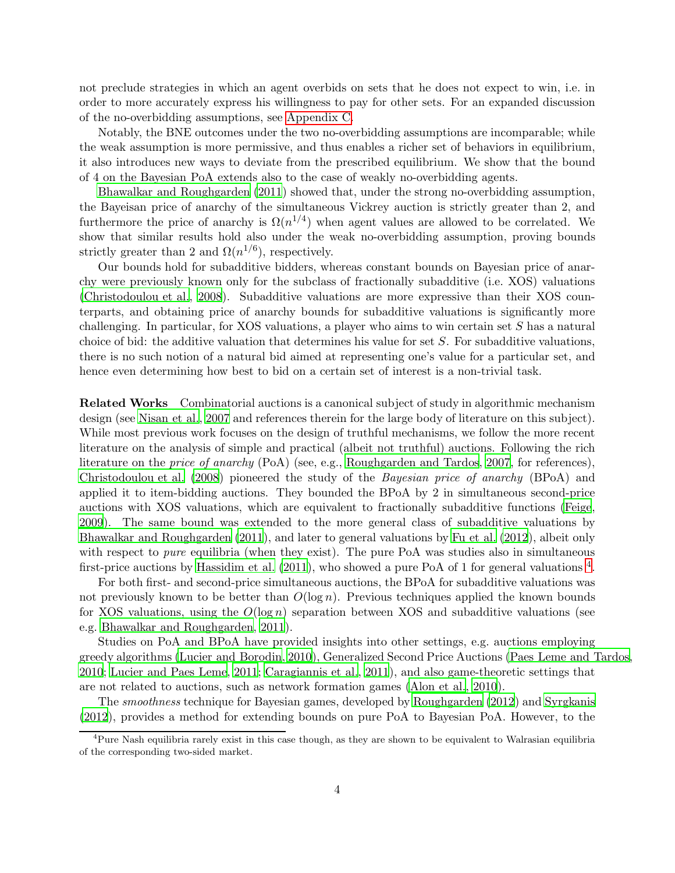not preclude strategies in which an agent overbids on sets that he does not expect to win, i.e. in order to more accurately express his willingness to pay for other sets. For an expanded discussion of the no-overbidding assumptions, see [Appendix C.](#page-15-0)

Notably, the BNE outcomes under the two no-overbidding assumptions are incomparable; while the weak assumption is more permissive, and thus enables a richer set of behaviors in equilibrium, it also introduces new ways to deviate from the prescribed equilibrium. We show that the bound of 4 on the Bayesian PoA extends also to the case of weakly no-overbidding agents.

[Bhawalkar and Roughgarden \(2011](#page-12-1)) showed that, under the strong no-overbidding assumption, the Bayeisan price of anarchy of the simultaneous Vickrey auction is strictly greater than 2, and furthermore the price of anarchy is  $\Omega(n^{1/4})$  when agent values are allowed to be correlated. We show that similar results hold also under the weak no-overbidding assumption, proving bounds strictly greater than 2 and  $\Omega(n^{1/6})$ , respectively.

Our bounds hold for subadditive bidders, whereas constant bounds on Bayesian price of anarchy were previously known only for the subclass of fractionally subadditive (i.e. XOS) valuations [\(Christodoulou et al., 2008](#page-12-5)). Subadditive valuations are more expressive than their XOS counterparts, and obtaining price of anarchy bounds for subadditive valuations is significantly more challenging. In particular, for XOS valuations, a player who aims to win certain set S has a natural choice of bid: the additive valuation that determines his value for set  $S$ . For subadditive valuations, there is no such notion of a natural bid aimed at representing one's value for a particular set, and hence even determining how best to bid on a certain set of interest is a non-trivial task.

Related Works Combinatorial auctions is a canonical subject of study in algorithmic mechanism design (see [Nisan et al., 2007](#page-13-3) and references therein for the large body of literature on this subject). While most previous work focuses on the design of truthful mechanisms, we follow the more recent literature on the analysis of simple and practical (albeit not truthful) auctions. Following the rich literature on the price of anarchy (PoA) (see, e.g., [Roughgarden and Tardos, 2007](#page-13-4), for references), [Christodoulou et al. \(2008\)](#page-12-5) pioneered the study of the Bayesian price of anarchy (BPoA) and applied it to item-bidding auctions. They bounded the BPoA by 2 in simultaneous second-price auctions with XOS valuations, which are equivalent to fractionally subadditive functions [\(Feige](#page-12-6), [2009\)](#page-12-6). The same bound was extended to the more general class of subadditive valuations by [Bhawalkar and Roughgarden \(2011](#page-12-1)), and later to general valuations by [Fu et al. \(2012](#page-12-4)), albeit only with respect to *pure* equilibria (when they exist). The pure PoA was studies also in simultaneous first-price auctions by [Hassidim et al. \(2011\)](#page-12-0), who showed a pure PoA of 1 for general valuations <sup>[4](#page-3-0)</sup>.

For both first- and second-price simultaneous auctions, the BPoA for subadditive valuations was not previously known to be better than  $O(\log n)$ . Previous techniques applied the known bounds for XOS valuations, using the  $O(\log n)$  separation between XOS and subadditive valuations (see e.g. [Bhawalkar and Roughgarden, 2011](#page-12-1)).

Studies on PoA and BPoA have provided insights into other settings, e.g. auctions employing greedy algorithms [\(Lucier and Borodin, 2010](#page-13-5)), Generalized Second Price Auctions [\(Paes Leme and Tardos](#page-13-6), [2010;](#page-13-6) [Lucier and Paes Leme, 2011](#page-13-7); [Caragiannis et al., 2011](#page-12-7)), and also game-theoretic settings that are not related to auctions, such as network formation games [\(Alon et al., 2010](#page-12-8)).

The smoothness technique for Bayesian games, developed by [Roughgarden \(2012](#page-13-8)) and [Syrgkanis](#page-13-9) [\(2012](#page-13-9)), provides a method for extending bounds on pure PoA to Bayesian PoA. However, to the

<span id="page-3-0"></span> ${}^{4}$ Pure Nash equilibria rarely exist in this case though, as they are shown to be equivalent to Walrasian equilibria of the corresponding two-sided market.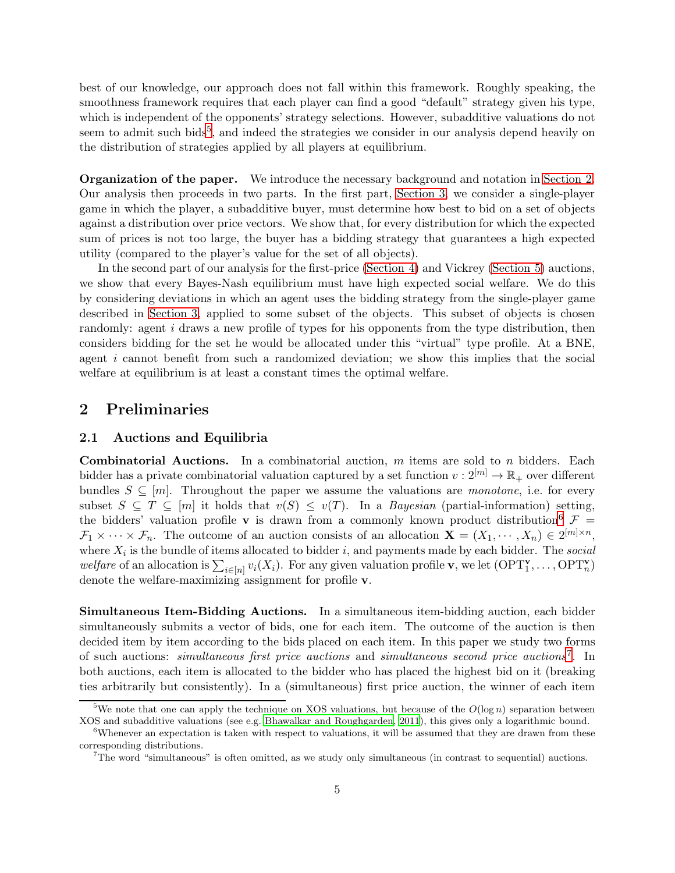best of our knowledge, our approach does not fall within this framework. Roughly speaking, the smoothness framework requires that each player can find a good "default" strategy given his type, which is independent of the opponents' strategy selections. However, subadditive valuations do not seem to admit such bids<sup>[5](#page-4-0)</sup>, and indeed the strategies we consider in our analysis depend heavily on the distribution of strategies applied by all players at equilibrium.

Organization of the paper. We introduce the necessary background and notation in [Section 2.](#page-4-1) Our analysis then proceeds in two parts. In the first part, [Section 3,](#page-7-1) we consider a single-player game in which the player, a subadditive buyer, must determine how best to bid on a set of objects against a distribution over price vectors. We show that, for every distribution for which the expected sum of prices is not too large, the buyer has a bidding strategy that guarantees a high expected utility (compared to the player's value for the set of all objects).

In the second part of our analysis for the first-price [\(Section 4\)](#page-9-0) and Vickrey [\(Section 5\)](#page-11-0) auctions, we show that every Bayes-Nash equilibrium must have high expected social welfare. We do this by considering deviations in which an agent uses the bidding strategy from the single-player game described in [Section 3,](#page-7-1) applied to some subset of the objects. This subset of objects is chosen randomly: agent  $i$  draws a new profile of types for his opponents from the type distribution, then considers bidding for the set he would be allocated under this "virtual" type profile. At a BNE, agent  $i$  cannot benefit from such a randomized deviation; we show this implies that the social welfare at equilibrium is at least a constant times the optimal welfare.

### <span id="page-4-1"></span>2 Preliminaries

#### 2.1 Auctions and Equilibria

**Combinatorial Auctions.** In a combinatorial auction,  $m$  items are sold to  $n$  bidders. Each bidder has a private combinatorial valuation captured by a set function  $v: 2^{[m]} \to \mathbb{R}_+$  over different bundles  $S \subseteq [m]$ . Throughout the paper we assume the valuations are *monotone*, i.e. for every subset  $S \subseteq T \subseteq [m]$  it holds that  $v(S) \le v(T)$ . In a *Bayesian* (partial-information) setting, the bidders' valuation profile v is drawn from a commonly known product distribution<sup>[6](#page-4-2)</sup>  $\mathcal{F}$  =  $\mathcal{F}_1 \times \cdots \times \mathcal{F}_n$ . The outcome of an auction consists of an allocation  $\mathbf{X} = (X_1, \dots, X_n) \in 2^{[m] \times n}$ , where  $X_i$  is the bundle of items allocated to bidder i, and payments made by each bidder. The *social* welfare of an allocation is  $\sum_{i\in[n]} v_i(X_i)$ . For any given valuation profile **v**, we let  $(OPT_1^{\mathbf{v}}, \ldots, OPT_n^{\mathbf{v}})$ denote the welfare-maximizing assignment for profile v.

Simultaneous Item-Bidding Auctions. In a simultaneous item-bidding auction, each bidder simultaneously submits a vector of bids, one for each item. The outcome of the auction is then decided item by item according to the bids placed on each item. In this paper we study two forms of such auctions: *simultaneous first price auctions* and *simultaneous second price auctions*<sup>[7](#page-4-3)</sup>. In both auctions, each item is allocated to the bidder who has placed the highest bid on it (breaking ties arbitrarily but consistently). In a (simultaneous) first price auction, the winner of each item

<span id="page-4-0"></span><sup>&</sup>lt;sup>5</sup>We note that one can apply the technique on XOS valuations, but because of the  $O(\log n)$  separation between XOS and subadditive valuations (see e.g. [Bhawalkar and Roughgarden, 2011\)](#page-12-1), this gives only a logarithmic bound.

<sup>&</sup>lt;sup>6</sup>Whenever an expectation is taken with respect to valuations, it will be assumed that they are drawn from these corresponding distributions.

<span id="page-4-3"></span><span id="page-4-2"></span><sup>7</sup>The word "simultaneous" is often omitted, as we study only simultaneous (in contrast to sequential) auctions.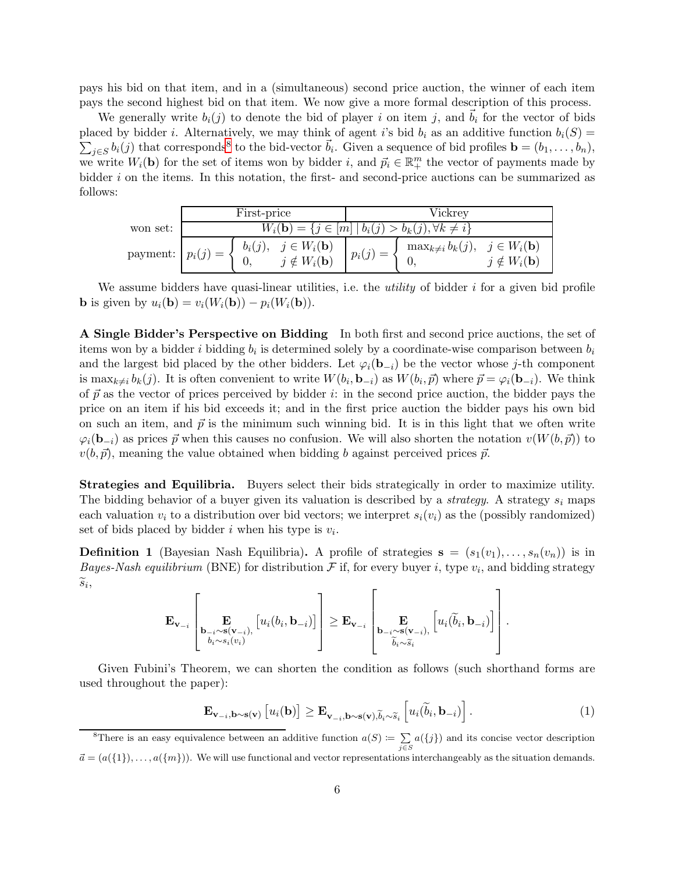pays his bid on that item, and in a (simultaneous) second price auction, the winner of each item pays the second highest bid on that item. We now give a more formal description of this process.

We generally write  $b_i(j)$  to denote the bid of player i on item j, and  $\vec{b}_i$  for the vector of bids  $\sum_{j\in S} b_i(j)$  that corresponds<sup>[8](#page-5-0)</sup> to the bid-vector  $\vec{b}_i$ . Given a sequence of bid profiles  $\mathbf{b} = (b_1, \ldots, b_n)$ , placed by bidder *i*. Alternatively, we may think of agent *i*'s bid  $b_i$  as an additive function  $b_i(S)$  = we write  $W_i(\mathbf{b})$  for the set of items won by bidder i, and  $\vec{p}_i \in \mathbb{R}^m_+$  the vector of payments made by bidder i on the items. In this notation, the first- and second-price auctions can be summarized as follows:

|          | First-price                                                                         |            |                                                       | Vickrey                                     |                                                       |                            |
|----------|-------------------------------------------------------------------------------------|------------|-------------------------------------------------------|---------------------------------------------|-------------------------------------------------------|----------------------------|
| won set: | $\overline{W_i(\mathbf{b})} = \{j \in [m] \mid b_i(j) > b_k(j), \forall k \neq i\}$ |            |                                                       |                                             |                                                       |                            |
| payment: | $p_i(j) =$                                                                          | $b_i(j)$ , | $j \in W_i(\mathbf{b})$<br>$j \notin W_i(\mathbf{b})$ | $p_i(j)$<br>$\hspace{0.1mm}-\hspace{0.1mm}$ | $\max_{k \neq i} b_k(j), \quad j \in W_i(\mathbf{b})$ | $j \notin W_i(\mathbf{b})$ |

We assume bidders have quasi-linear utilities, i.e. the *utility* of bidder  $i$  for a given bid profile **b** is given by  $u_i(\mathbf{b}) = v_i(W_i(\mathbf{b})) - p_i(W_i(\mathbf{b})).$ 

A Single Bidder's Perspective on Bidding In both first and second price auctions, the set of items won by a bidder i bidding  $b_i$  is determined solely by a coordinate-wise comparison between  $b_i$ and the largest bid placed by the other bidders. Let  $\varphi_i(\mathbf{b}_{-i})$  be the vector whose j-th component is max<sub>k≠i</sub>  $b_k(j)$ . It is often convenient to write  $W(b_i, \mathbf{b}_{-i})$  as  $W(b_i, \vec{p})$  where  $\vec{p} = \varphi_i(\mathbf{b}_{-i})$ . We think of  $\vec{p}$  as the vector of prices perceived by bidder i: in the second price auction, the bidder pays the price on an item if his bid exceeds it; and in the first price auction the bidder pays his own bid on such an item, and  $\vec{p}$  is the minimum such winning bid. It is in this light that we often write  $\varphi_i(\mathbf{b}_{-i})$  as prices  $\vec{p}$  when this causes no confusion. We will also shorten the notation  $v(W(b, \vec{p}))$  to  $v(b, \vec{p})$ , meaning the value obtained when bidding b against perceived prices  $\vec{p}$ .

Strategies and Equilibria. Buyers select their bids strategically in order to maximize utility. The bidding behavior of a buyer given its valuation is described by a *strategy*. A strategy  $s_i$  maps each valuation  $v_i$  to a distribution over bid vectors; we interpret  $s_i(v_i)$  as the (possibly randomized) set of bids placed by bidder  $i$  when his type is  $v_i$ .

**Definition 1** (Bayesian Nash Equilibria). A profile of strategies  $\mathbf{s} = (s_1(v_1), \ldots, s_n(v_n))$  is in *Bayes-Nash equilibrium* (BNE) for distribution  $\mathcal F$  if, for every buyer *i*, type  $v_i$ , and bidding strategy  $\widetilde{s}_i,$ 

$$
\mathbf{E}_{\mathbf{v}_{-i}}\left[\mathbf{E}_{\mathbf{b}_{-i}\sim\mathbf{s}(\mathbf{v}_{-i})\atop b_i\sim s_i(v_i)}\left[u_i(b_i,\mathbf{b}_{-i})\right]\right]\geq \mathbf{E}_{\mathbf{v}_{-i}}\left[\mathbf{E}_{\mathbf{b}_{-i}\sim\mathbf{s}(\mathbf{v}_{-i})\atop \widetilde{b}_i\sim\widetilde{s}_i}\left[u_i(\widetilde{b}_i,\mathbf{b}_{-i})\right]\right].
$$

Given Fubini's Theorem, we can shorten the condition as follows (such shorthand forms are used throughout the paper):

$$
\mathbf{E}_{\mathbf{v}_{-i},\mathbf{b}\sim\mathbf{s}(\mathbf{v})}\left[u_i(\mathbf{b})\right] \geq \mathbf{E}_{\mathbf{v}_{-i},\mathbf{b}\sim\mathbf{s}(\mathbf{v}),\widetilde{b}_i\sim\widetilde{s}_i}\left[u_i(\widetilde{b}_i,\mathbf{b}_{-i})\right].\tag{1}
$$

<span id="page-5-0"></span><sup>&</sup>lt;sup>8</sup>There is an easy equivalence between an additive function  $a(S) := \sum_{j \in S} a({j})$  and its concise vector description  $\vec{a} = (a({1}), \ldots, a({m})).$  We will use functional and vector representations interchangeably as the situation demands.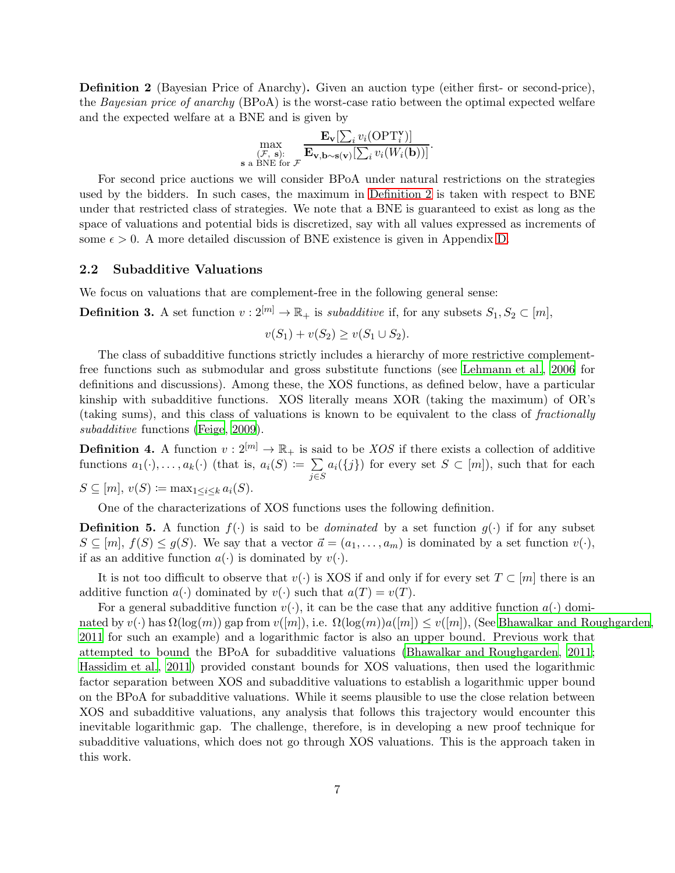<span id="page-6-0"></span>Definition 2 (Bayesian Price of Anarchy). Given an auction type (either first- or second-price), the Bayesian price of anarchy (BPoA) is the worst-case ratio between the optimal expected welfare and the expected welfare at a BNE and is given by

$$
\max_{\substack{(\mathcal{F}, \text{ s}):\\ \mathbf{s} \text{ a BNE for }\mathcal{F}}} \frac{\mathbf{E}_{\mathbf{v}}[\sum_{i} v_i(\mathrm{OPT}_i^{\mathbf{v}})]}{\mathbf{E}_{\mathbf{v}, \mathbf{b} \sim \mathbf{s}(\mathbf{v})}[\sum_{i} v_i(W_i(\mathbf{b}))]}.
$$

For second price auctions we will consider BPoA under natural restrictions on the strategies used by the bidders. In such cases, the maximum in [Definition 2](#page-6-0) is taken with respect to BNE under that restricted class of strategies. We note that a BNE is guaranteed to exist as long as the space of valuations and potential bids is discretized, say with all values expressed as increments of some  $\epsilon > 0$ . A more detailed discussion of BNE existence is given in Appendix [D.](#page-16-0)

#### 2.2 Subadditive Valuations

We focus on valuations that are complement-free in the following general sense:

**Definition 3.** A set function  $v: 2^{[m]} \to \mathbb{R}_+$  is *subadditive* if, for any subsets  $S_1, S_2 \subset [m]$ ,

$$
v(S_1) + v(S_2) \ge v(S_1 \cup S_2).
$$

The class of subadditive functions strictly includes a hierarchy of more restrictive complementfree functions such as submodular and gross substitute functions (see [Lehmann et al.](#page-12-9), [2006](#page-12-9) for definitions and discussions). Among these, the XOS functions, as defined below, have a particular kinship with subadditive functions. XOS literally means XOR (taking the maximum) of OR's (taking sums), and this class of valuations is known to be equivalent to the class of fractionally subadditive functions [\(Feige, 2009](#page-12-6)).

**Definition 4.** A function  $v: 2^{[m]} \to \mathbb{R}_+$  is said to be *XOS* if there exists a collection of additive functions  $a_1(\cdot), \ldots, a_k(\cdot)$  (that is,  $a_i(S) \coloneqq \sum_{i \in S}$  $\sum_{j\in S} a_i(\{j\})$  for every set  $S \subset [m]$ , such that for each

$$
S \subseteq [m], v(S) := \max_{1 \le i \le k} a_i(S).
$$

One of the characterizations of XOS functions uses the following definition.

**Definition 5.** A function  $f(\cdot)$  is said to be *dominated* by a set function  $g(\cdot)$  if for any subset  $S \subseteq [m], f(S) \leq g(S)$ . We say that a vector  $\vec{a} = (a_1, \ldots, a_m)$  is dominated by a set function  $v(\cdot)$ , if as an additive function  $a(\cdot)$  is dominated by  $v(\cdot)$ .

It is not too difficult to observe that  $v(\cdot)$  is XOS if and only if for every set  $T \subset [m]$  there is an additive function  $a(\cdot)$  dominated by  $v(\cdot)$  such that  $a(T) = v(T)$ .

For a general subadditive function  $v(\cdot)$ , it can be the case that any additive function  $a(\cdot)$  dominated by  $v(\cdot)$  has  $\Omega(\log(m))$  gap from  $v([m])$ , i.e.  $\Omega(\log(m))a([m]) \leq v([m])$ , (See [Bhawalkar and Roughgarden](#page-12-1), [2011](#page-12-1) for such an example) and a logarithmic factor is also an upper bound. Previous work that attempted to bound the BPoA for subadditive valuations [\(Bhawalkar and Roughgarden, 2011;](#page-12-1) [Hassidim et al.](#page-12-0), [2011](#page-12-0)) provided constant bounds for XOS valuations, then used the logarithmic factor separation between XOS and subadditive valuations to establish a logarithmic upper bound on the BPoA for subadditive valuations. While it seems plausible to use the close relation between XOS and subadditive valuations, any analysis that follows this trajectory would encounter this inevitable logarithmic gap. The challenge, therefore, is in developing a new proof technique for subadditive valuations, which does not go through XOS valuations. This is the approach taken in this work.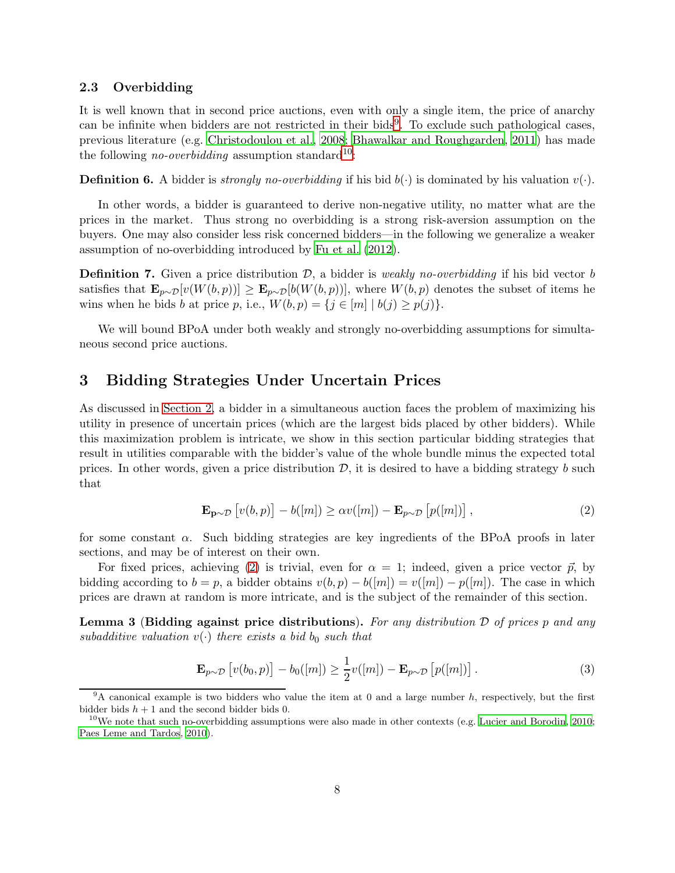#### <span id="page-7-0"></span>2.3 Overbidding

It is well known that in second price auctions, even with only a single item, the price of anarchy can be infinite when bidders are not restricted in their bids<sup>[9](#page-7-2)</sup>. To exclude such pathological cases, previous literature (e.g. [Christodoulou et al.](#page-12-5), [2008;](#page-12-5) [Bhawalkar and Roughgarden, 2011](#page-12-1)) has made the following *no-overbidding* assumption standard<sup>[10](#page-7-3)</sup>:

**Definition 6.** A bidder is *strongly no-overbidding* if his bid  $b(\cdot)$  is dominated by his valuation  $v(\cdot)$ .

In other words, a bidder is guaranteed to derive non-negative utility, no matter what are the prices in the market. Thus strong no overbidding is a strong risk-aversion assumption on the buyers. One may also consider less risk concerned bidders—in the following we generalize a weaker assumption of no-overbidding introduced by [Fu et al. \(2012\)](#page-12-4).

**Definition 7.** Given a price distribution  $\mathcal{D}$ , a bidder is *weakly no-overbidding* if his bid vector b satisfies that  $\mathbf{E}_{p\sim\mathcal{D}}[v(W(b,p))] \geq \mathbf{E}_{p\sim\mathcal{D}}[b(W(b,p))]$ , where  $W(b,p)$  denotes the subset of items he wins when he bids b at price p, i.e.,  $W(b, p) = \{j \in [m] \mid b(j) \ge p(j)\}.$ 

We will bound BPoA under both weakly and strongly no-overbidding assumptions for simultaneous second price auctions.

## <span id="page-7-1"></span>3 Bidding Strategies Under Uncertain Prices

As discussed in [Section 2,](#page-4-1) a bidder in a simultaneous auction faces the problem of maximizing his utility in presence of uncertain prices (which are the largest bids placed by other bidders). While this maximization problem is intricate, we show in this section particular bidding strategies that result in utilities comparable with the bidder's value of the whole bundle minus the expected total prices. In other words, given a price distribution  $\mathcal{D}$ , it is desired to have a bidding strategy b such that

<span id="page-7-4"></span>
$$
\mathbf{E}_{\mathbf{p}\sim\mathcal{D}}\left[v(b,p)\right] - b([m]) \geq \alpha v([m]) - \mathbf{E}_{p\sim\mathcal{D}}\left[p([m])\right],\tag{2}
$$

for some constant  $\alpha$ . Such bidding strategies are key ingredients of the BPoA proofs in later sections, and may be of interest on their own.

For fixed prices, achieving [\(2\)](#page-7-4) is trivial, even for  $\alpha = 1$ ; indeed, given a price vector  $\vec{p}$ , by bidding according to  $b = p$ , a bidder obtains  $v(b, p) - b([m]) = v([m]) - p([m])$ . The case in which prices are drawn at random is more intricate, and is the subject of the remainder of this section.

<span id="page-7-6"></span>**Lemma 3 (Bidding against price distributions).** For any distribution  $D$  of prices p and any subadditive valuation  $v(\cdot)$  there exists a bid  $b_0$  such that

<span id="page-7-5"></span>
$$
\mathbf{E}_{p\sim\mathcal{D}}\left[v(b_0,p)\right] - b_0([m]) \ge \frac{1}{2}v([m]) - \mathbf{E}_{p\sim\mathcal{D}}\left[p([m])\right].\tag{3}
$$

<span id="page-7-2"></span> $9A$  canonical example is two bidders who value the item at 0 and a large number h, respectively, but the first bidder bids  $h + 1$  and the second bidder bids 0.

<span id="page-7-3"></span><sup>&</sup>lt;sup>10</sup>We note that such no-overbidding assumptions were also made in other contexts (e.g. [Lucier and Borodin](#page-13-5), [2010](#page-13-5); [Paes Leme and Tardos](#page-13-6), [2010](#page-13-6)).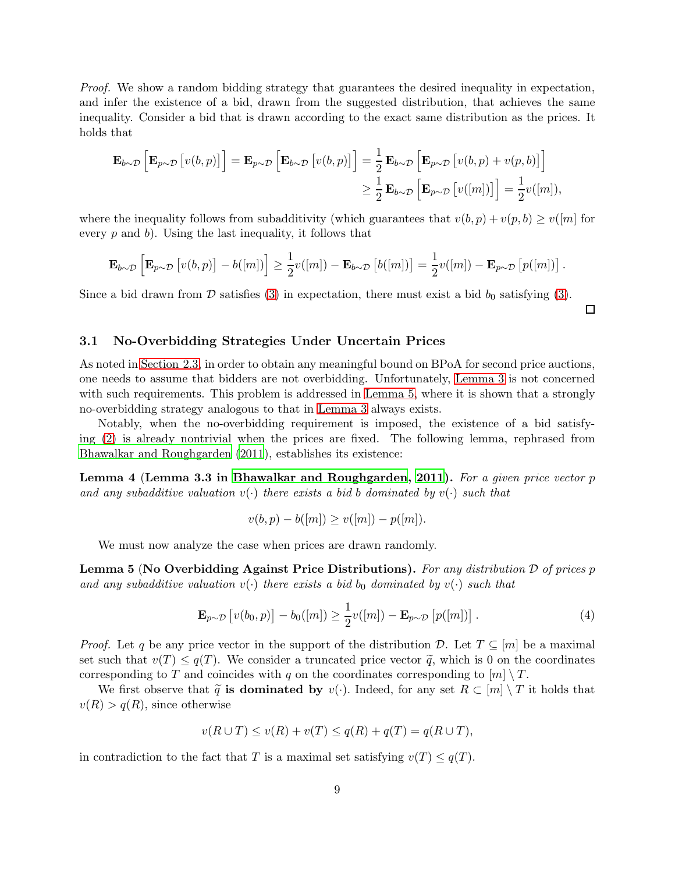Proof. We show a random bidding strategy that guarantees the desired inequality in expectation, and infer the existence of a bid, drawn from the suggested distribution, that achieves the same inequality. Consider a bid that is drawn according to the exact same distribution as the prices. It holds that

$$
\mathbf{E}_{b \sim \mathcal{D}} \left[ \mathbf{E}_{p \sim \mathcal{D}} \left[ v(b, p) \right] \right] = \mathbf{E}_{p \sim \mathcal{D}} \left[ \mathbf{E}_{b \sim \mathcal{D}} \left[ v(b, p) \right] \right] = \frac{1}{2} \mathbf{E}_{b \sim \mathcal{D}} \left[ \mathbf{E}_{p \sim \mathcal{D}} \left[ v(b, p) + v(p, b) \right] \right] \geq \frac{1}{2} \mathbf{E}_{b \sim \mathcal{D}} \left[ \mathbf{E}_{p \sim \mathcal{D}} \left[ v([m]) \right] \right] = \frac{1}{2} v([m]),
$$

where the inequality follows from subadditivity (which guarantees that  $v(b, p) + v(p, b) \ge v([m])$  for every  $p$  and  $b$ ). Using the last inequality, it follows that

$$
\mathbf{E}_{b\sim\mathcal{D}}\left[\mathbf{E}_{p\sim\mathcal{D}}\left[v(b,p)\right]-b([m])\right]\geq\frac{1}{2}v([m])-\mathbf{E}_{b\sim\mathcal{D}}\left[b([m])\right]=\frac{1}{2}v([m])-\mathbf{E}_{p\sim\mathcal{D}}\left[p([m])\right].
$$

Since a bid drawn from  $\mathcal D$  satisfies [\(3\)](#page-7-5) in expectation, there must exist a bid  $b_0$  satisfying (3).

 $\Box$ 

#### 3.1 No-Overbidding Strategies Under Uncertain Prices

As noted in [Section 2.3,](#page-7-0) in order to obtain any meaningful bound on BPoA for second price auctions, one needs to assume that bidders are not overbidding. Unfortunately, [Lemma 3](#page-7-6) is not concerned with such requirements. This problem is addressed in [Lemma 5,](#page-8-0) where it is shown that a strongly no-overbidding strategy analogous to that in [Lemma 3](#page-7-6) always exists.

Notably, when the no-overbidding requirement is imposed, the existence of a bid satisfying [\(2\)](#page-7-4) is already nontrivial when the prices are fixed. The following lemma, rephrased from [Bhawalkar and Roughgarden \(2011](#page-12-1)), establishes its existence:

**Lemma 4 (Lemma 3.3 in [Bhawalkar and Roughgarden](#page-12-1), [2011\)](#page-12-1).** For a given price vector  $p$ and any subadditive valuation  $v(\cdot)$  there exists a bid b dominated by  $v(\cdot)$  such that

$$
v(b, p) - b([m]) \ge v([m]) - p([m]).
$$

We must now analyze the case when prices are drawn randomly.

<span id="page-8-0"></span>**Lemma 5 (No Overbidding Against Price Distributions).** For any distribution  $\mathcal D$  of prices p and any subadditive valuation  $v(\cdot)$  there exists a bid  $b_0$  dominated by  $v(\cdot)$  such that

$$
\mathbf{E}_{p\sim\mathcal{D}}\left[v(b_0,p)\right] - b_0([m]) \ge \frac{1}{2}v([m]) - \mathbf{E}_{p\sim\mathcal{D}}\left[p([m])\right].\tag{4}
$$

*Proof.* Let q be any price vector in the support of the distribution D. Let  $T \subseteq [m]$  be a maximal set such that  $v(T) \leq q(T)$ . We consider a truncated price vector  $\tilde{q}$ , which is 0 on the coordinates corresponding to T and coincides with q on the coordinates corresponding to  $[m] \setminus T$ .

We first observe that  $\tilde{q}$  is dominated by v( $\cdot$ ). Indeed, for any set  $R \subset [m] \setminus T$  it holds that  $v(R) > q(R)$ , since otherwise

$$
v(R \cup T) \le v(R) + v(T) \le q(R) + q(T) = q(R \cup T),
$$

in contradiction to the fact that T is a maximal set satisfying  $v(T) \leq q(T)$ .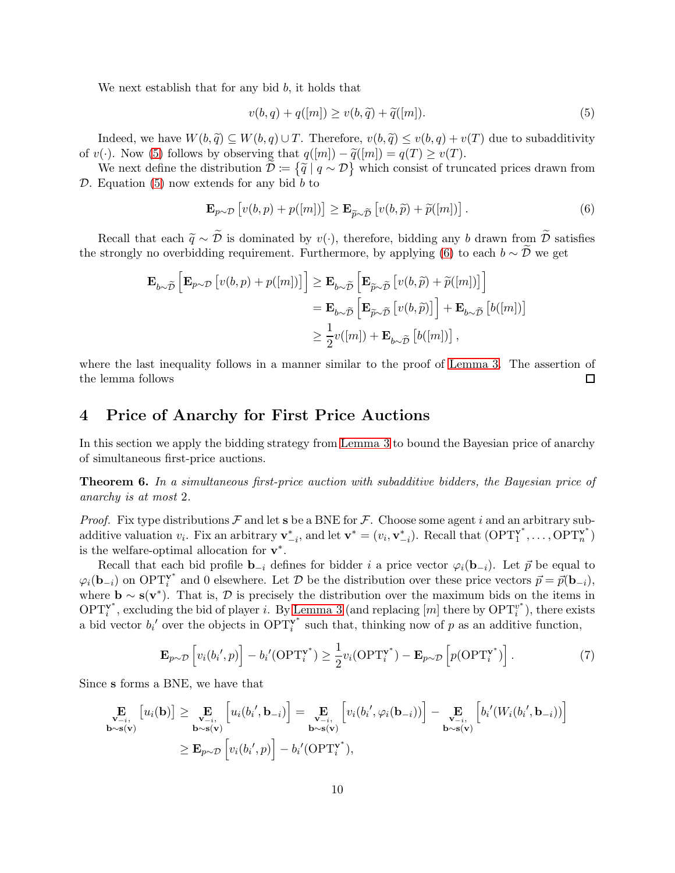We next establish that for any bid  $b$ , it holds that

<span id="page-9-2"></span><span id="page-9-1"></span>
$$
v(b,q) + q([m]) \ge v(b,\tilde{q}) + \tilde{q}([m]).
$$
\n(5)

Indeed, we have  $W(b, \tilde{q}) \subseteq W(b, q) \cup T$ . Therefore,  $v(b, \tilde{q}) \leq v(b, q) + v(T)$  due to subadditivity of v(·). Now [\(5\)](#page-9-1) follows by observing that  $q([m]) - \tilde{q}([m]) = q(T) \ge v(T)$ .

We next define the distribution  $\tilde{\mathcal{D}} := \{ \tilde{q} \mid q \sim \mathcal{D} \}$  which consist of truncated prices drawn from  $\mathcal{D}$ . Equation [\(5\)](#page-9-1) now extends for any bid b to

$$
\mathbf{E}_{p\sim\mathcal{D}}\left[v(b,p) + p([m])\right] \geq \mathbf{E}_{\widetilde{p}\sim\widetilde{\mathcal{D}}}\left[v(b,\widetilde{p}) + \widetilde{p}([m])\right].\tag{6}
$$

Recall that each  $\tilde{q} \sim \tilde{\mathcal{D}}$  is dominated by v(·), therefore, bidding any b drawn from  $\tilde{\mathcal{D}}$  satisfies the strongly no overbidding requirement. Furthermore, by applying [\(6\)](#page-9-2) to each  $b \sim \tilde{\mathcal{D}}$  we get

$$
\begin{aligned} \mathbf{E}_{b\sim \widetilde{\mathcal{D}}} \left[ \mathbf{E}_{p\sim \mathcal{D}} \left[ v(b,p) + p([m]) \right] \right] &\geq \mathbf{E}_{b\sim \widetilde{\mathcal{D}}} \left[ \mathbf{E}_{\widetilde{p}\sim \widetilde{\mathcal{D}}} \left[ v(b,\widetilde{p}) + \widetilde{p}([m]) \right] \right] \\ &= \mathbf{E}_{b\sim \widetilde{\mathcal{D}}} \left[ \mathbf{E}_{\widetilde{p}\sim \widetilde{\mathcal{D}}} \left[ v(b,\widetilde{p}) \right] \right] + \mathbf{E}_{b\sim \widetilde{\mathcal{D}}} \left[ b([m]) \right] \\ &\geq \frac{1}{2} v([m]) + \mathbf{E}_{b\sim \widetilde{\mathcal{D}}} \left[ b([m]) \right], \end{aligned}
$$

where the last inequality follows in a manner similar to the proof of [Lemma 3.](#page-7-6) The assertion of the lemma follows 口

### <span id="page-9-0"></span>4 Price of Anarchy for First Price Auctions

In this section we apply the bidding strategy from [Lemma 3](#page-7-6) to bound the Bayesian price of anarchy of simultaneous first-price auctions.

<span id="page-9-4"></span>Theorem 6. In a simultaneous first-price auction with subadditive bidders, the Bayesian price of anarchy is at most 2.

*Proof.* Fix type distributions  $\mathcal F$  and let s be a BNE for  $\mathcal F$ . Choose some agent i and an arbitrary subadditive valuation  $v_i$ . Fix an arbitrary  $\mathbf{v}_{-i}^*$ , and let  $\mathbf{v}^* = (v_i, \mathbf{v}_{-i}^*)$ . Recall that  $\left(\text{OPT}_1^{\mathbf{v}^*}\right)$  $Y_1^*, \ldots, \mathrm{OPT}_n^{\mathbf{v}^*}$  $_{n}^{\mathbf{v}^{+}})$ is the welfare-optimal allocation for  $\mathbf{v}^*$ .

Recall that each bid profile  $\mathbf{b}_{-i}$  defines for bidder i a price vector  $\varphi_i(\mathbf{b}_{-i})$ . Let  $\vec{p}$  be equal to  $\varphi_i(\mathbf{b}_{-i})$  on  $\mathrm{OPT}_i^{\mathbf{v}^*}$  $\mathbf{v}^*$  and 0 elsewhere. Let  $\mathcal{D}$  be the distribution over these price vectors  $\vec{p} = \vec{p}(\mathbf{b}_{-i}),$ where  $\mathbf{b} \sim \mathbf{s}(\mathbf{v}^*)$ . That is,  $\mathcal{D}$  is precisely the distribution over the maximum bids on the items in  $\text{OPT}_i^{\mathbf{v}^*}$  $S_i^*$ , excluding the bid of player *i*. By [Lemma 3](#page-7-6) (and replacing  $[m]$  there by  $\text{OPT}_i^{v^*}$  $i^{\nu^*}$ ), there exists a bid vector  $b_i'$  over the objects in  $\text{OPT}_i^{\mathbf{v}^*}$  $S_i^{\mathbf{v}}$  such that, thinking now of p as an additive function,

<span id="page-9-3"></span>
$$
\mathbf{E}_{p\sim\mathcal{D}}\left[v_i(b_i',p)\right] - b_i'(\text{OPT}_i^{\mathbf{v}^*}) \ge \frac{1}{2}v_i(\text{OPT}_i^{\mathbf{v}^*}) - \mathbf{E}_{p\sim\mathcal{D}}\left[p(\text{OPT}_i^{\mathbf{v}^*})\right].\tag{7}
$$

Since s forms a BNE, we have that

$$
\mathop{\mathbf{E}}_{\substack{\mathbf{v}_{-i}, \\ \mathbf{b}\sim\mathbf{s}(\mathbf{v})}} [u_i(\mathbf{b})] \geq \mathop{\mathbf{E}}_{\substack{\mathbf{v}_{-i}, \\ \mathbf{b}\sim\mathbf{s}(\mathbf{v})}} [u_i(b_i', \mathbf{b}_{-i})] = \mathop{\mathbf{E}}_{\substack{\mathbf{v}_{-i}, \\ \mathbf{b}\sim\mathbf{s}(\mathbf{v})}} [v_i(b_i', \varphi_i(\mathbf{b}_{-i}))] - \mathop{\mathbf{E}}_{\substack{\mathbf{v}_{-i}, \\ \mathbf{b}\sim\mathbf{s}(\mathbf{v})}} [b_i'(W_i(b_i', \mathbf{b}_{-i}))]
$$
\n
$$
\geq \mathop{\mathbf{E}}_{p\sim\mathcal{D}} [v_i(b_i', p)] - b_i'(\text{OPT}_i^{\mathbf{v}^*}),
$$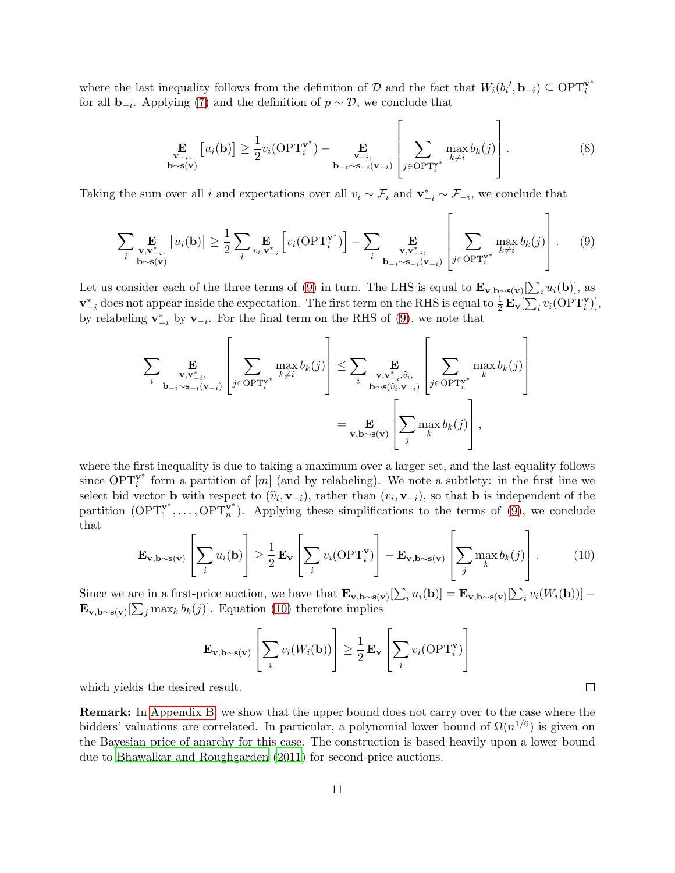where the last inequality follows from the definition of  $D$  and the fact that  $W_i(b_i', \mathbf{b}_{-i}) \subseteq \text{OPT}_i^{\mathbf{v}^*}$ i for all  $\mathbf{b}_{-i}$ . Applying [\(7\)](#page-9-3) and the definition of  $p \sim \mathcal{D}$ , we conclude that

$$
\underset{\mathbf{b}\sim\mathbf{s}(\mathbf{v})}{\mathbf{E}}\left[u_i(\mathbf{b})\right] \geq \frac{1}{2}v_i(\text{OPT}_i^{\mathbf{v}^*}) - \underset{\mathbf{b}_{-i}\sim\mathbf{s}_{-i}(\mathbf{v}_{-i})}{\mathbf{E}}\left[\sum_{j\in\text{OPT}_i^{\mathbf{v}^*}}\max_{k\neq i}b_k(j)\right].\tag{8}
$$

Taking the sum over all i and expectations over all  $v_i \sim \mathcal{F}_i$  and  $\mathbf{v}_{-i}^* \sim \mathcal{F}_{-i}$ , we conclude that

<span id="page-10-0"></span>
$$
\sum_{i} \underset{\mathbf{b} \sim \mathbf{s}(\mathbf{v})}{\mathbf{E}} \left[ u_i(\mathbf{b}) \right] \ge \frac{1}{2} \sum_{i} \underset{v_i, \mathbf{v}_{-i}}{\mathbf{E}} \left[ v_i(\mathrm{OPT}_i^{\mathbf{v}^*}) \right] - \sum_{i} \underset{\mathbf{b}_{-i} \sim \mathbf{s}_{-i}(\mathbf{v}_{-i})}{\mathbf{E}} \left[ \sum_{j \in \mathrm{OPT}_i^{\mathbf{v}^*}} \max_{k \ne i} b_k(j) \right]. \tag{9}
$$

Let us consider each of the three terms of [\(9\)](#page-10-0) in turn. The LHS is equal to  $\mathbf{E}_{\mathbf{v},\mathbf{b}\sim\mathbf{s}(\mathbf{v})}[\sum_i u_i(\mathbf{b})]$ , as  $\mathbf{v}_{-i}^*$  does not appear inside the expectation. The first term on the RHS is equal to  $\frac{1}{2} \mathbf{E}_{\mathbf{v}}[\sum_i v_i(\text{OPT}_i^{\mathbf{v}})],$ by relabeling  $\mathbf{v}_{-i}^*$  by  $\mathbf{v}_{-i}$ . For the final term on the RHS of [\(9\)](#page-10-0), we note that

$$
\sum_{i} \underset{\mathbf{b}_{-i} \sim \mathbf{s}_{-i}(\mathbf{v}_{-i})}{\mathbf{E}} \left[ \sum_{j \in \text{OPT}_{i}^{\mathbf{v}*}} \max_{k \neq i} b_{k}(j) \right] \leq \sum_{i} \underset{\mathbf{b} \sim \mathbf{s}(\widehat{v}_{i}, \mathbf{v}_{-i})}{\mathbf{E}} \left[ \sum_{j \in \text{OPT}_{i}^{\mathbf{v}*}} \max_{k} b_{k}(j) \right]
$$

$$
= \underset{\mathbf{v}, \mathbf{b} \sim \mathbf{s}(\mathbf{v})}{\mathbf{E}} \left[ \sum_{j} \max_{k} b_{k}(j) \right],
$$

where the first inequality is due to taking a maximum over a larger set, and the last equality follows since  $\text{OPT}_i^{\mathbf{v}^*}$  $\mathbf{v}^*$  form a partition of  $[m]$  (and by relabeling). We note a subtlety: in the first line we select bid vector **b** with respect to  $(\hat{v}_i, \mathbf{v}_{-i})$ , rather than  $(v_i, \mathbf{v}_{-i})$ , so that **b** is independent of the partition  $(OPT_1^{\mathbf{v}^*})$  $\mathbf{Q}_1^{\mathbf{v}^*}, \ldots, \mathbf{OPT}_n^{\mathbf{v}^*}$  $\mathbf{v}^*$ ). Applying these simplifications to the terms of [\(9\)](#page-10-0), we conclude that  $\mathsf{r}$  $\overline{\phantom{0}}$ 

<span id="page-10-1"></span>
$$
\mathbf{E}_{\mathbf{v},\mathbf{b}\sim\mathbf{s}(\mathbf{v})}\left[\sum_{i} u_i(\mathbf{b})\right] \geq \frac{1}{2} \mathbf{E}_{\mathbf{v}}\left[\sum_{i} v_i(\text{OPT}_i^{\mathbf{v}})\right] - \mathbf{E}_{\mathbf{v},\mathbf{b}\sim\mathbf{s}(\mathbf{v})}\left[\sum_{j} \max_{k} b_k(j)\right].
$$
 (10)

 $\Box$ 

Since we are in a first-price auction, we have that  $\mathbf{E}_{\mathbf{v},\mathbf{b}\sim\mathbf{s}(\mathbf{v})}[\sum_i u_i(\mathbf{b})] = \mathbf{E}_{\mathbf{v},\mathbf{b}\sim\mathbf{s}(\mathbf{v})}[\sum_i v_i(W_i(\mathbf{b}))] \mathbf{E}_{\mathbf{v},\mathbf{b}\sim\mathbf{s}(\mathbf{v})}[\sum_j \max_k b_k(j)]$ . Equation [\(10\)](#page-10-1) therefore implies

$$
\mathbf{E}_{\mathbf{v},\mathbf{b}\sim\mathbf{s}(\mathbf{v})}\left[\sum_i v_i(W_i(\mathbf{b}))\right] \geq \frac{1}{2} \mathbf{E}_{\mathbf{v}}\left[\sum_i v_i(\mathrm{OPT}_i^{\mathbf{v}})\right]
$$

which yields the desired result.

Remark: In [Appendix B,](#page-14-0) we show that the upper bound does not carry over to the case where the bidders' valuations are correlated. In particular, a polynomial lower bound of  $\Omega(n^{1/6})$  is given on the Bayesian price of anarchy for this case. The construction is based heavily upon a lower bound due to [Bhawalkar and Roughgarden \(2011](#page-12-1)) for second-price auctions.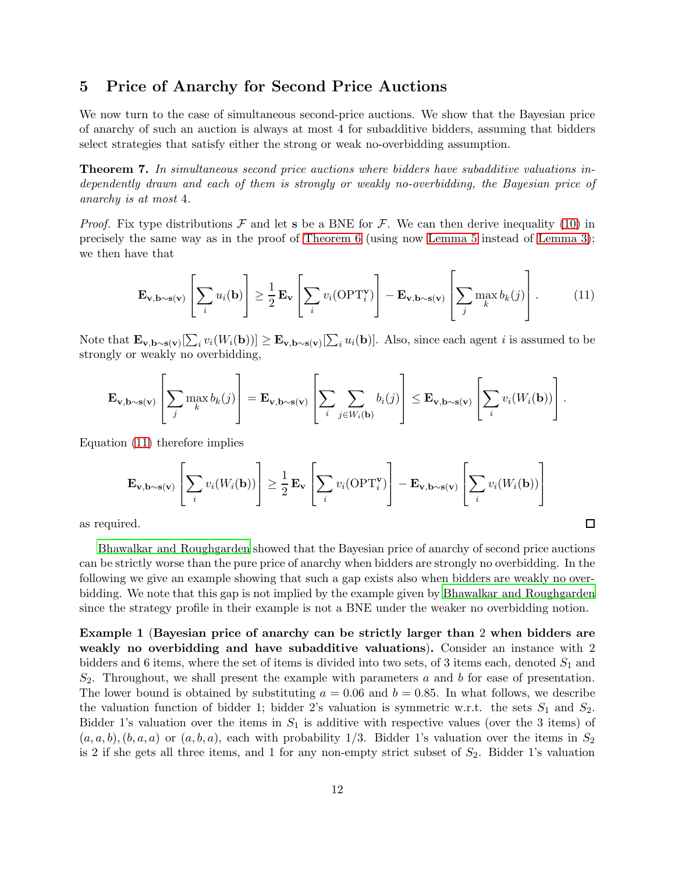# <span id="page-11-0"></span>5 Price of Anarchy for Second Price Auctions

We now turn to the case of simultaneous second-price auctions. We show that the Bayesian price of anarchy of such an auction is always at most 4 for subadditive bidders, assuming that bidders select strategies that satisfy either the strong or weak no-overbidding assumption.

Theorem 7. In simultaneous second price auctions where bidders have subadditive valuations independently drawn and each of them is strongly or weakly no-overbidding, the Bayesian price of anarchy is at most 4.

*Proof.* Fix type distributions  $\mathcal F$  and let **s** be a BNE for  $\mathcal F$ . We can then derive inequality [\(10\)](#page-10-1) in precisely the same way as in the proof of [Theorem 6](#page-9-4) (using now [Lemma 5](#page-8-0) instead of [Lemma 3\)](#page-7-6); we then have that

<span id="page-11-1"></span>
$$
\mathbf{E}_{\mathbf{v},\mathbf{b}\sim\mathbf{s}(\mathbf{v})}\left[\sum_{i} u_i(\mathbf{b})\right] \ge \frac{1}{2} \mathbf{E}_{\mathbf{v}}\left[\sum_{i} v_i(\text{OPT}_i^{\mathbf{v}})\right] - \mathbf{E}_{\mathbf{v},\mathbf{b}\sim\mathbf{s}(\mathbf{v})}\left[\sum_{j} \max_{k} b_k(j)\right].
$$
 (11)

Note that  $\mathbf{E}_{\mathbf{v},\mathbf{b}\sim\mathbf{s}(\mathbf{v})}[\sum_i v_i(W_i(\mathbf{b}))] \geq \mathbf{E}_{\mathbf{v},\mathbf{b}\sim\mathbf{s}(\mathbf{v})}[\sum_i u_i(\mathbf{b})]$ . Also, since each agent *i* is assumed to be strongly or weakly no overbidding,

$$
\mathbf{E}_{\mathbf{v},\mathbf{b}\sim\mathbf{s}(\mathbf{v})}\left[\sum_j \max_k b_k(j)\right] = \mathbf{E}_{\mathbf{v},\mathbf{b}\sim\mathbf{s}(\mathbf{v})}\left[\sum_i \sum_{j\in W_i(\mathbf{b})} b_i(j)\right] \leq \mathbf{E}_{\mathbf{v},\mathbf{b}\sim\mathbf{s}(\mathbf{v})}\left[\sum_i v_i(W_i(\mathbf{b}))\right].
$$

Equation [\(11\)](#page-11-1) therefore implies

$$
\mathbf{E}_{\mathbf{v},\mathbf{b}\sim\mathbf{s}(\mathbf{v})}\left[\sum_i v_i(W_i(\mathbf{b}))\right] \geq \frac{1}{2}\,\mathbf{E}_{\mathbf{v}}\left[\sum_i v_i(\mathrm{OPT}_i^{\mathbf{v}})\right] - \mathbf{E}_{\mathbf{v},\mathbf{b}\sim\mathbf{s}(\mathbf{v})}\left[\sum_i v_i(W_i(\mathbf{b}))\right]
$$

as required.

[Bhawalkar and Roughgarden](#page-12-1) showed that the Bayesian price of anarchy of second price auctions can be strictly worse than the pure price of anarchy when bidders are strongly no overbidding. In the following we give an example showing that such a gap exists also when bidders are weakly no overbidding. We note that this gap is not implied by the example given by [Bhawalkar and Roughgarden](#page-12-1) since the strategy profile in their example is not a BNE under the weaker no overbidding notion.

<span id="page-11-2"></span>Example 1 (Bayesian price of anarchy can be strictly larger than 2 when bidders are weakly no overbidding and have subadditive valuations). Consider an instance with 2 bidders and 6 items, where the set of items is divided into two sets, of 3 items each, denoted  $S_1$  and  $S_2$ . Throughout, we shall present the example with parameters a and b for ease of presentation. The lower bound is obtained by substituting  $a = 0.06$  and  $b = 0.85$ . In what follows, we describe the valuation function of bidder 1; bidder 2's valuation is symmetric w.r.t. the sets  $S_1$  and  $S_2$ . Bidder 1's valuation over the items in  $S_1$  is additive with respective values (over the 3 items) of  $(a, a, b), (b, a, a)$  or  $(a, b, a)$ , each with probability 1/3. Bidder 1's valuation over the items in  $S_2$ is 2 if she gets all three items, and 1 for any non-empty strict subset of  $S_2$ . Bidder 1's valuation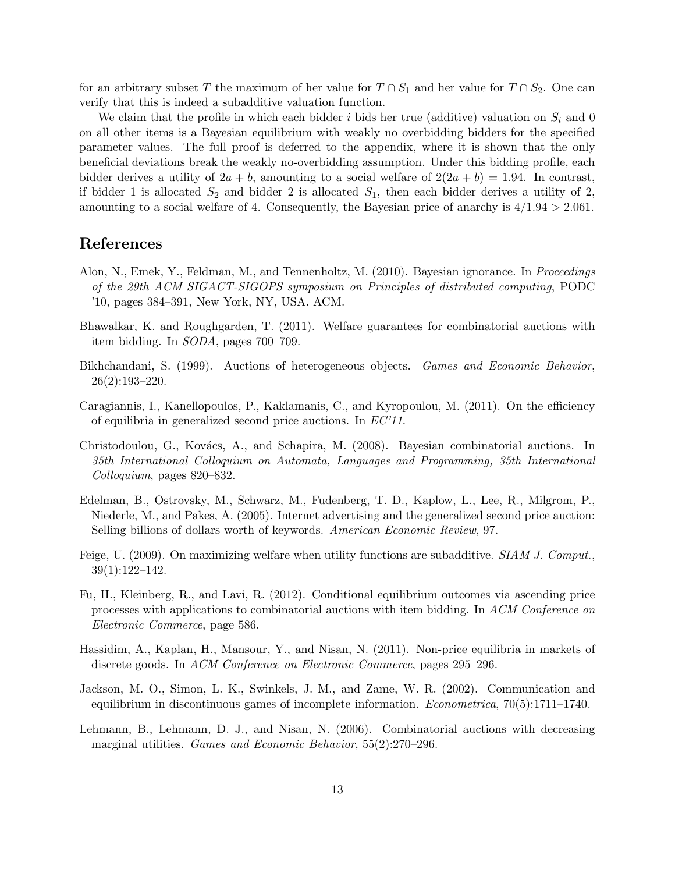for an arbitrary subset T the maximum of her value for  $T \cap S_1$  and her value for  $T \cap S_2$ . One can verify that this is indeed a subadditive valuation function.

We claim that the profile in which each bidder i bids her true (additive) valuation on  $S_i$  and 0 on all other items is a Bayesian equilibrium with weakly no overbidding bidders for the specified parameter values. The full proof is deferred to the appendix, where it is shown that the only beneficial deviations break the weakly no-overbidding assumption. Under this bidding profile, each bidder derives a utility of  $2a + b$ , amounting to a social welfare of  $2(2a + b) = 1.94$ . In contrast, if bidder 1 is allocated  $S_2$  and bidder 2 is allocated  $S_1$ , then each bidder derives a utility of 2, amounting to a social welfare of 4. Consequently, the Bayesian price of anarchy is  $4/1.94 > 2.061$ .

# References

- <span id="page-12-8"></span>Alon, N., Emek, Y., Feldman, M., and Tennenholtz, M. (2010). Bayesian ignorance. In Proceedings of the 29th ACM SIGACT-SIGOPS symposium on Principles of distributed computing, PODC '10, pages 384–391, New York, NY, USA. ACM.
- <span id="page-12-1"></span>Bhawalkar, K. and Roughgarden, T. (2011). Welfare guarantees for combinatorial auctions with item bidding. In SODA, pages 700–709.
- <span id="page-12-3"></span>Bikhchandani, S. (1999). Auctions of heterogeneous objects. Games and Economic Behavior, 26(2):193–220.
- <span id="page-12-7"></span>Caragiannis, I., Kanellopoulos, P., Kaklamanis, C., and Kyropoulou, M. (2011). On the efficiency of equilibria in generalized second price auctions. In EC'11.
- <span id="page-12-5"></span>Christodoulou, G., Kovács, A., and Schapira, M. (2008). Bayesian combinatorial auctions. In 35th International Colloquium on Automata, Languages and Programming, 35th International Colloquium, pages 820–832.
- <span id="page-12-2"></span>Edelman, B., Ostrovsky, M., Schwarz, M., Fudenberg, T. D., Kaplow, L., Lee, R., Milgrom, P., Niederle, M., and Pakes, A. (2005). Internet advertising and the generalized second price auction: Selling billions of dollars worth of keywords. American Economic Review, 97.
- <span id="page-12-6"></span>Feige, U. (2009). On maximizing welfare when utility functions are subadditive. *SIAM J. Comput.*, 39(1):122–142.
- <span id="page-12-4"></span>Fu, H., Kleinberg, R., and Lavi, R. (2012). Conditional equilibrium outcomes via ascending price processes with applications to combinatorial auctions with item bidding. In ACM Conference on Electronic Commerce, page 586.
- <span id="page-12-0"></span>Hassidim, A., Kaplan, H., Mansour, Y., and Nisan, N. (2011). Non-price equilibria in markets of discrete goods. In ACM Conference on Electronic Commerce, pages 295–296.
- <span id="page-12-10"></span>Jackson, M. O., Simon, L. K., Swinkels, J. M., and Zame, W. R. (2002). Communication and equilibrium in discontinuous games of incomplete information. Econometrica, 70(5):1711–1740.
- <span id="page-12-9"></span>Lehmann, B., Lehmann, D. J., and Nisan, N. (2006). Combinatorial auctions with decreasing marginal utilities. Games and Economic Behavior, 55(2):270–296.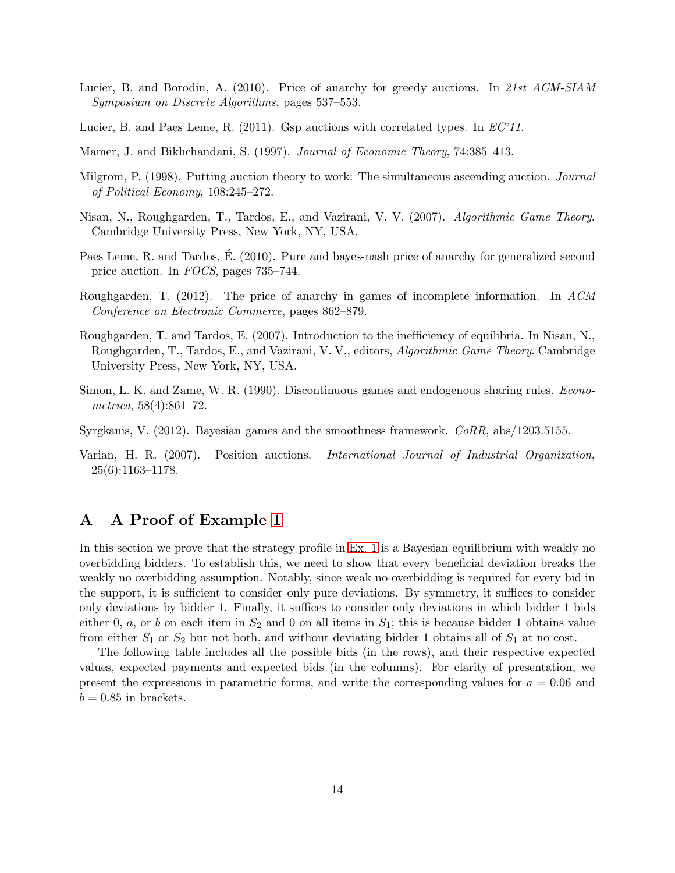- <span id="page-13-5"></span>Lucier, B. and Borodin, A. (2010). Price of anarchy for greedy auctions. In 21st ACM-SIAM Symposium on Discrete Algorithms, pages 537–553.
- <span id="page-13-7"></span>Lucier, B. and Paes Leme, R. (2011). Gsp auctions with correlated types. In  $EC'11$ .
- <span id="page-13-2"></span>Mamer, J. and Bikhchandani, S. (1997). Journal of Economic Theory, 74:385–413.
- <span id="page-13-1"></span>Milgrom, P. (1998). Putting auction theory to work: The simultaneous ascending auction. Journal of Political Economy, 108:245–272.
- <span id="page-13-3"></span>Nisan, N., Roughgarden, T., Tardos, E., and Vazirani, V. V. (2007). Algorithmic Game Theory. Cambridge University Press, New York, NY, USA.
- <span id="page-13-6"></span>Paes Leme, R. and Tardos, E. (2010). Pure and bayes-nash price of anarchy for generalized second price auction. In FOCS, pages 735–744.
- <span id="page-13-8"></span>Roughgarden, T. (2012). The price of anarchy in games of incomplete information. In ACM Conference on Electronic Commerce, pages 862–879.
- <span id="page-13-4"></span>Roughgarden, T. and Tardos, E. (2007). Introduction to the inefficiency of equilibria. In Nisan, N., Roughgarden, T., Tardos, E., and Vazirani, V. V., editors, Algorithmic Game Theory. Cambridge University Press, New York, NY, USA.
- <span id="page-13-10"></span>Simon, L. K. and Zame, W. R. (1990). Discontinuous games and endogenous sharing rules. Econometrica, 58(4):861–72.
- <span id="page-13-9"></span>Syrgkanis, V. (2012). Bayesian games and the smoothness framework. CoRR, abs/1203.5155.
- <span id="page-13-0"></span>Varian, H. R. (2007). Position auctions. International Journal of Industrial Organization, 25(6):1163–1178.

# A A Proof of Example [1](#page-11-2)

In this section we prove that the strategy profile in [Ex. 1](#page-11-2) is a Bayesian equilibrium with weakly no overbidding bidders. To establish this, we need to show that every beneficial deviation breaks the weakly no overbidding assumption. Notably, since weak no-overbidding is required for every bid in the support, it is sufficient to consider only pure deviations. By symmetry, it suffices to consider only deviations by bidder 1. Finally, it suffices to consider only deviations in which bidder 1 bids either 0, a, or b on each item in  $S_2$  and 0 on all items in  $S_1$ ; this is because bidder 1 obtains value from either  $S_1$  or  $S_2$  but not both, and without deviating bidder 1 obtains all of  $S_1$  at no cost.

The following table includes all the possible bids (in the rows), and their respective expected values, expected payments and expected bids (in the columns). For clarity of presentation, we present the expressions in parametric forms, and write the corresponding values for  $a = 0.06$  and  $b = 0.85$  in brackets.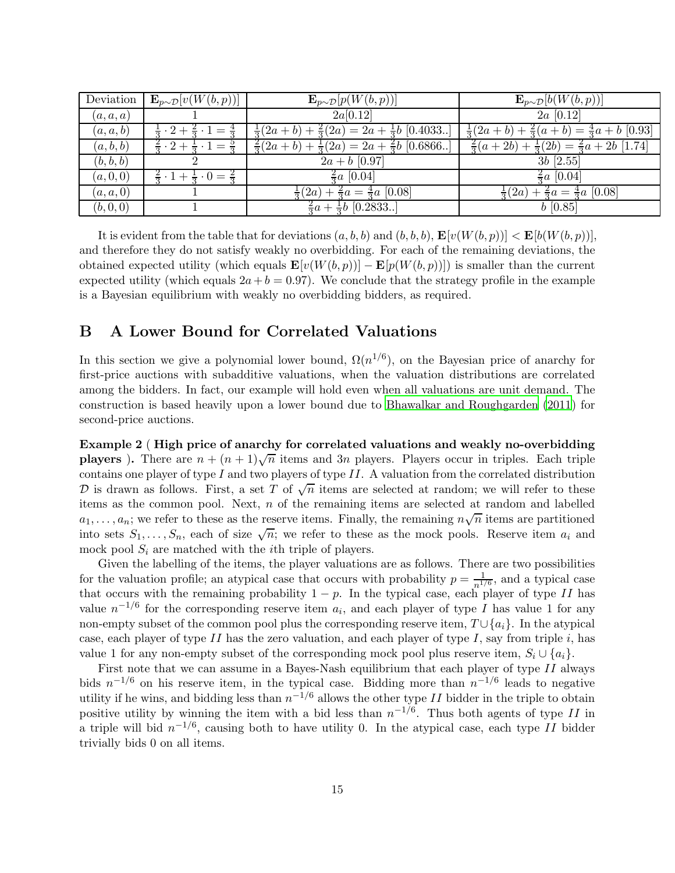| Deviation | $\mathbf{E}_{p\sim\mathcal{D}}[v(W(b,p))]$    | $\mathbf{E}_{p\sim\mathcal{D}}[p(W(b,p))]$                           | $\mathbf{E}_{p\sim\mathcal{D}}[b(W(b,p))]$                        |
|-----------|-----------------------------------------------|----------------------------------------------------------------------|-------------------------------------------------------------------|
| (a, a, a) |                                               | 2a[0.12]                                                             | 2a [0.12]                                                         |
| (a, a, b) | $\frac{2}{5} \cdot 1 =$<br>÷                  | $+\frac{2}{2}(2a) = 2a + \frac{1}{2}b$ [0.4033]<br>$rac{1}{2}(2a+b)$ | $+\frac{2}{2}(a+b)=\frac{4}{2}a+b$ [0.93]<br>$rac{1}{2}(2a+b)$    |
| (a, b, b) | $\cdot$ 1 $=$                                 | $\frac{2}{3}(2a+b)+\frac{1}{3}(2a)=2a+\frac{2}{3}b$ [0.6866]         | $rac{2}{2}(a+2b)$<br>$\frac{1}{2}(2b) = \frac{2}{3}a + 2b$ [1.74] |
| (b, b, b) |                                               | $2a + b$ [0.97]                                                      | $3b$ [2.55]                                                       |
| (a,0,0)   | $-1 + \frac{1}{2} \cdot 0 =$<br>$\frac{2}{2}$ | $\frac{2}{2}a$ [0.04]                                                | $\frac{2}{2}a$ [0.04]                                             |
| (a,a,0)   |                                               | $(2a) + \frac{2}{3}a = \frac{4}{3}a$ [0.08]                          | $+\frac{2}{3}a = \frac{4}{5}a$ [0.08]<br>$rac{1}{2}(2a)$          |
| (b, 0, 0) |                                               | $rac{2}{2}a + \frac{1}{2}b$ [0.2833]                                 | b[0.85]                                                           |

It is evident from the table that for deviations  $(a, b, b)$  and  $(b, b, b)$ ,  $\mathbf{E}[v(W(b, p))] < \mathbf{E}[b(W(b, p))]$ , and therefore they do not satisfy weakly no overbidding. For each of the remaining deviations, the obtained expected utility (which equals  $\mathbf{E}[v(W(b,p))] - \mathbf{E}[p(W(b,p))]$ ) is smaller than the current expected utility (which equals  $2a + b = 0.97$ ). We conclude that the strategy profile in the example is a Bayesian equilibrium with weakly no overbidding bidders, as required.

# <span id="page-14-0"></span>B A Lower Bound for Correlated Valuations

In this section we give a polynomial lower bound,  $\Omega(n^{1/6})$ , on the Bayesian price of anarchy for first-price auctions with subadditive valuations, when the valuation distributions are correlated among the bidders. In fact, our example will hold even when all valuations are unit demand. The construction is based heavily upon a lower bound due to [Bhawalkar and Roughgarden \(2011](#page-12-1)) for second-price auctions.

Example 2 ( High price of anarchy for correlated valuations and weakly no-overbidding **players**). There are  $n + (n + 1)\sqrt{n}$  items and 3n players. Players occur in triples. Each triple contains one player of type I and two players of type II. A valuation from the correlated distribution D is drawn as follows. First, a set T of  $\sqrt{n}$  items are selected at random; we will refer to these items as the common pool. Next, n of the remaining items are selected at random and labelled  $a_1, \ldots, a_n$ ; we refer to these as the reserve items. Finally, the remaining  $n\sqrt{n}$  items are partitioned into sets  $S_1, \ldots, S_n$ , each of size  $\sqrt{n}$ ; we refer to these as the mock pools. Reserve item  $a_i$  and mock pool  $S_i$  are matched with the *i*th triple of players.

Given the labelling of the items, the player valuations are as follows. There are two possibilities for the valuation profile; an atypical case that occurs with probability  $p = \frac{1}{n^{1/6}}$ , and a typical case that occurs with the remaining probability  $1 - p$ . In the typical case, each player of type II has value  $n^{-1/6}$  for the corresponding reserve item  $a_i$ , and each player of type I has value 1 for any non-empty subset of the common pool plus the corresponding reserve item,  $T \cup \{a_i\}$ . In the atypical case, each player of type II has the zero valuation, and each player of type I, say from triple i, has value 1 for any non-empty subset of the corresponding mock pool plus reserve item,  $S_i \cup \{a_i\}$ .

First note that we can assume in a Bayes-Nash equilibrium that each player of type  $II$  always bids  $n^{-1/6}$  on his reserve item, in the typical case. Bidding more than  $n^{-1/6}$  leads to negative utility if he wins, and bidding less than  $n^{-1/6}$  allows the other type II bidder in the triple to obtain positive utility by winning the item with a bid less than  $n^{-1/6}$ . Thus both agents of type II in a triple will bid  $n^{-1/6}$ , causing both to have utility 0. In the atypical case, each type II bidder trivially bids 0 on all items.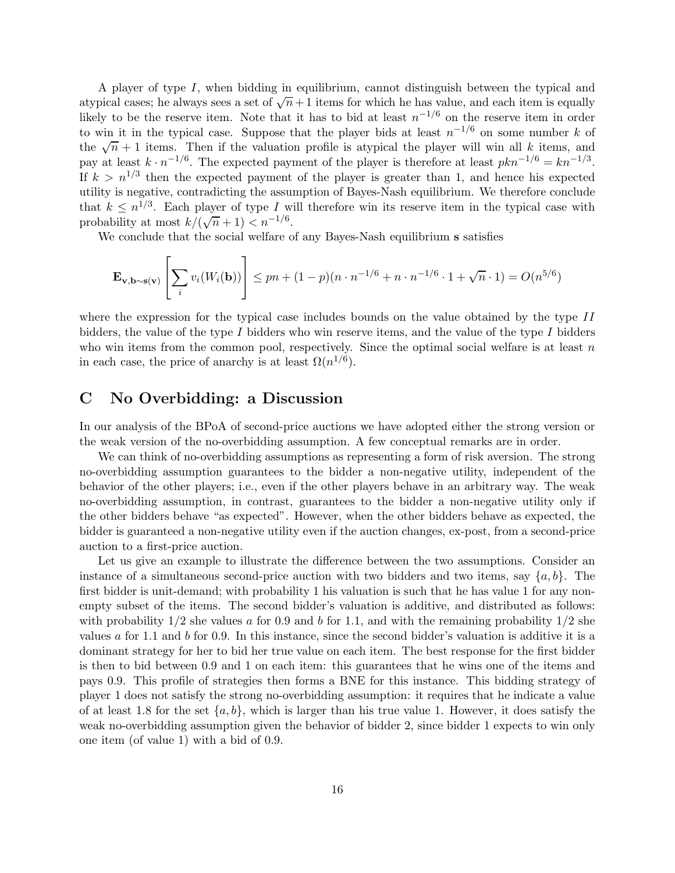A player of type I, when bidding in equilibrium, cannot distinguish between the typical and atypical cases; he always sees a set of  $\sqrt{n+1}$  items for which he has value, and each item is equally likely to be the reserve item. Note that it has to bid at least  $n^{-1/6}$  on the reserve item in order to win it in the typical case. Suppose that the player bids at least  $n^{-1/6}$  on some number k of the  $\sqrt{n}+1$  items. Then if the valuation profile is atypical the player will win all k items, and pay at least  $k \cdot n^{-1/6}$ . The expected payment of the player is therefore at least  $pkn^{-1/6} = kn^{-1/3}$ . If  $k > n^{1/3}$  then the expected payment of the player is greater than 1, and hence his expected utility is negative, contradicting the assumption of Bayes-Nash equilibrium. We therefore conclude that  $k \leq n^{1/3}$ . Each player of type I will therefore win its reserve item in the typical case with probability at most  $k/(\sqrt{n}+1) < n^{-1/6}$ .

We conclude that the social welfare of any Bayes-Nash equilibrium s satisfies

$$
\mathbf{E}_{\mathbf{v},\mathbf{b}\sim\mathbf{s}(\mathbf{v})}\left[\sum_{i} v_i(W_i(\mathbf{b}))\right] \leq pn + (1-p)(n \cdot n^{-1/6} + n \cdot n^{-1/6} \cdot 1 + \sqrt{n} \cdot 1) = O(n^{5/6})
$$

where the expression for the typical case includes bounds on the value obtained by the type II bidders, the value of the type I bidders who win reserve items, and the value of the type I bidders who win items from the common pool, respectively. Since the optimal social welfare is at least  $n$ in each case, the price of anarchy is at least  $\Omega(n^{1/6})$ .

## <span id="page-15-0"></span>C No Overbidding: a Discussion

In our analysis of the BPoA of second-price auctions we have adopted either the strong version or the weak version of the no-overbidding assumption. A few conceptual remarks are in order.

We can think of no-overbidding assumptions as representing a form of risk aversion. The strong no-overbidding assumption guarantees to the bidder a non-negative utility, independent of the behavior of the other players; i.e., even if the other players behave in an arbitrary way. The weak no-overbidding assumption, in contrast, guarantees to the bidder a non-negative utility only if the other bidders behave "as expected". However, when the other bidders behave as expected, the bidder is guaranteed a non-negative utility even if the auction changes, ex-post, from a second-price auction to a first-price auction.

Let us give an example to illustrate the difference between the two assumptions. Consider an instance of a simultaneous second-price auction with two bidders and two items, say  $\{a, b\}$ . The first bidder is unit-demand; with probability 1 his valuation is such that he has value 1 for any nonempty subset of the items. The second bidder's valuation is additive, and distributed as follows: with probability  $1/2$  she values a for 0.9 and b for 1.1, and with the remaining probability  $1/2$  she values a for 1.1 and b for 0.9. In this instance, since the second bidder's valuation is additive it is a dominant strategy for her to bid her true value on each item. The best response for the first bidder is then to bid between 0.9 and 1 on each item: this guarantees that he wins one of the items and pays 0.9. This profile of strategies then forms a BNE for this instance. This bidding strategy of player 1 does not satisfy the strong no-overbidding assumption: it requires that he indicate a value of at least 1.8 for the set  $\{a, b\}$ , which is larger than his true value 1. However, it does satisfy the weak no-overbidding assumption given the behavior of bidder 2, since bidder 1 expects to win only one item (of value 1) with a bid of 0.9.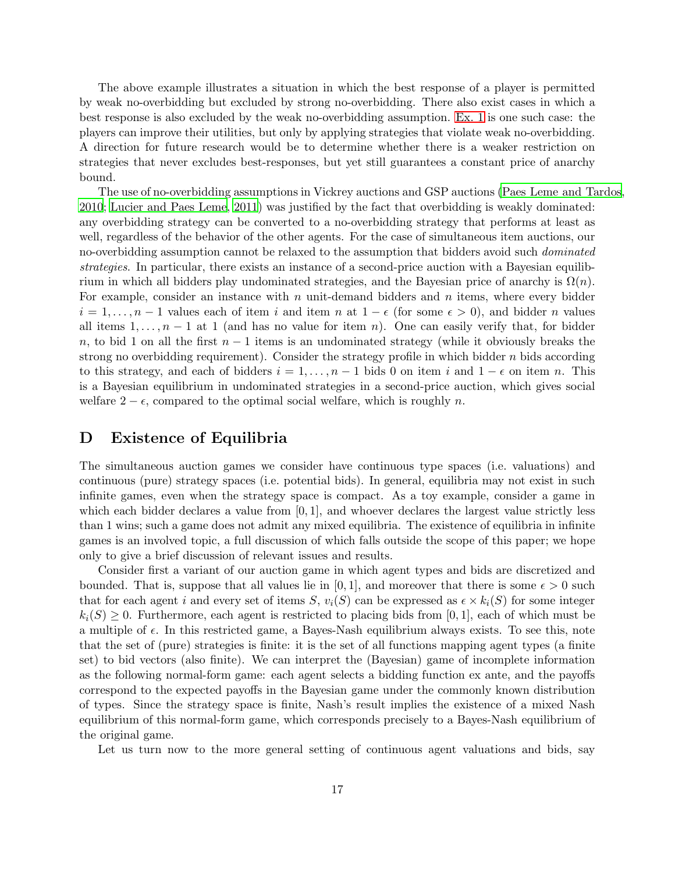The above example illustrates a situation in which the best response of a player is permitted by weak no-overbidding but excluded by strong no-overbidding. There also exist cases in which a best response is also excluded by the weak no-overbidding assumption. [Ex. 1](#page-11-2) is one such case: the players can improve their utilities, but only by applying strategies that violate weak no-overbidding. A direction for future research would be to determine whether there is a weaker restriction on strategies that never excludes best-responses, but yet still guarantees a constant price of anarchy bound.

The use of no-overbidding assumptions in Vickrey auctions and GSP auctions [\(Paes Leme and Tardos,](#page-13-6) [2010;](#page-13-6) [Lucier and Paes Leme, 2011\)](#page-13-7) was justified by the fact that overbidding is weakly dominated: any overbidding strategy can be converted to a no-overbidding strategy that performs at least as well, regardless of the behavior of the other agents. For the case of simultaneous item auctions, our no-overbidding assumption cannot be relaxed to the assumption that bidders avoid such *dominated* strategies. In particular, there exists an instance of a second-price auction with a Bayesian equilibrium in which all bidders play undominated strategies, and the Bayesian price of anarchy is  $\Omega(n)$ . For example, consider an instance with  $n$  unit-demand bidders and  $n$  items, where every bidder  $i = 1, \ldots, n - 1$  values each of item i and item n at  $1 - \epsilon$  (for some  $\epsilon > 0$ ), and bidder n values all items  $1, \ldots, n-1$  at 1 (and has no value for item n). One can easily verify that, for bidder n, to bid 1 on all the first  $n-1$  items is an undominated strategy (while it obviously breaks the strong no overbidding requirement). Consider the strategy profile in which bidder  $n$  bids according to this strategy, and each of bidders  $i = 1, \ldots, n - 1$  bids 0 on item i and  $1 - \epsilon$  on item n. This is a Bayesian equilibrium in undominated strategies in a second-price auction, which gives social welfare  $2 - \epsilon$ , compared to the optimal social welfare, which is roughly n.

# <span id="page-16-0"></span>D Existence of Equilibria

The simultaneous auction games we consider have continuous type spaces (i.e. valuations) and continuous (pure) strategy spaces (i.e. potential bids). In general, equilibria may not exist in such infinite games, even when the strategy space is compact. As a toy example, consider a game in which each bidder declares a value from  $[0, 1]$ , and whoever declares the largest value strictly less than 1 wins; such a game does not admit any mixed equilibria. The existence of equilibria in infinite games is an involved topic, a full discussion of which falls outside the scope of this paper; we hope only to give a brief discussion of relevant issues and results.

Consider first a variant of our auction game in which agent types and bids are discretized and bounded. That is, suppose that all values lie in [0, 1], and moreover that there is some  $\epsilon > 0$  such that for each agent i and every set of items S,  $v_i(S)$  can be expressed as  $\epsilon \times k_i(S)$  for some integer  $k_i(S) \geq 0$ . Furthermore, each agent is restricted to placing bids from [0, 1], each of which must be a multiple of  $\epsilon$ . In this restricted game, a Bayes-Nash equilibrium always exists. To see this, note that the set of (pure) strategies is finite: it is the set of all functions mapping agent types (a finite set) to bid vectors (also finite). We can interpret the (Bayesian) game of incomplete information as the following normal-form game: each agent selects a bidding function ex ante, and the payoffs correspond to the expected payoffs in the Bayesian game under the commonly known distribution of types. Since the strategy space is finite, Nash's result implies the existence of a mixed Nash equilibrium of this normal-form game, which corresponds precisely to a Bayes-Nash equilibrium of the original game.

Let us turn now to the more general setting of continuous agent valuations and bids, say